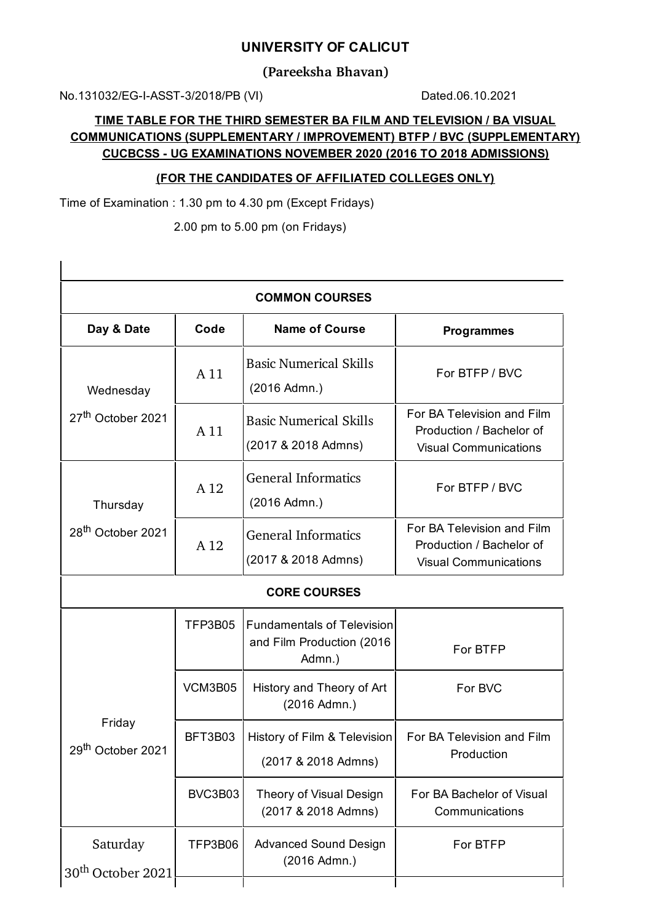## **UNIVERSITY OF CALICUT**

**(Pareeksha Bhavan)**

No.131032/EG-I-ASST-3/2018/PB (VI) Dated.06.10.2021

 $\overline{1}$ 

## **TIME TABLE FOR THE THIRD SEMESTER BA FILM AND TELEVISION / BA VISUAL COMMUNICATIONS (SUPPLEMENTARY / IMPROVEMENT) BTFP / BVC (SUPPLEMENTARY) CUCBCSS - UG EXAMINATIONS NOVEMBER 2020 (2016 TO 2018 ADMISSIONS)**

## **(FOR THE CANDIDATES OF AFFILIATED COLLEGES ONLY)**

Time of Examination : 1.30 pm to 4.30 pm (Except Fridays)

2.00 pm to 5.00 pm (on Fridays)

| <b>COMMON COURSES</b>                     |         |                                                                          |                                                                                        |  |  |
|-------------------------------------------|---------|--------------------------------------------------------------------------|----------------------------------------------------------------------------------------|--|--|
| Day & Date                                | Code    | <b>Name of Course</b>                                                    | <b>Programmes</b>                                                                      |  |  |
| Wednesday                                 | A 11    | <b>Basic Numerical Skills</b><br>(2016 Admn.)                            | For BTFP / BVC                                                                         |  |  |
| 27 <sup>th</sup> October 2021             | A 11    | <b>Basic Numerical Skills</b><br>(2017 & 2018 Admns)                     | For BA Television and Film<br>Production / Bachelor of<br><b>Visual Communications</b> |  |  |
| Thursday<br>28 <sup>th</sup> October 2021 | A 12    | <b>General Informatics</b><br>(2016 Admn.)                               | For BTFP / BVC                                                                         |  |  |
|                                           | A 12    | <b>General Informatics</b><br>(2017 & 2018 Admns)                        | For BA Television and Film<br>Production / Bachelor of<br><b>Visual Communications</b> |  |  |
| <b>CORE COURSES</b>                       |         |                                                                          |                                                                                        |  |  |
|                                           | TFP3B05 | <b>Fundamentals of Television</b><br>and Film Production (2016<br>Admn.) | For BTFP                                                                               |  |  |
| Friday<br>29 <sup>th</sup> October 2021   | VCM3B05 | History and Theory of Art<br>(2016 Admn.)                                | For BVC                                                                                |  |  |
|                                           | BFT3B03 | History of Film & Television<br>(2017 & 2018 Admns)                      | For BA Television and Film<br>Production                                               |  |  |
|                                           | BVC3B03 | Theory of Visual Design<br>(2017 & 2018 Admns)                           | For BA Bachelor of Visual<br>Communications                                            |  |  |
| Saturday<br>30 <sup>th</sup> October 2021 | TFP3B06 | <b>Advanced Sound Design</b><br>(2016 Admn.)                             | For BTFP                                                                               |  |  |
|                                           |         |                                                                          |                                                                                        |  |  |